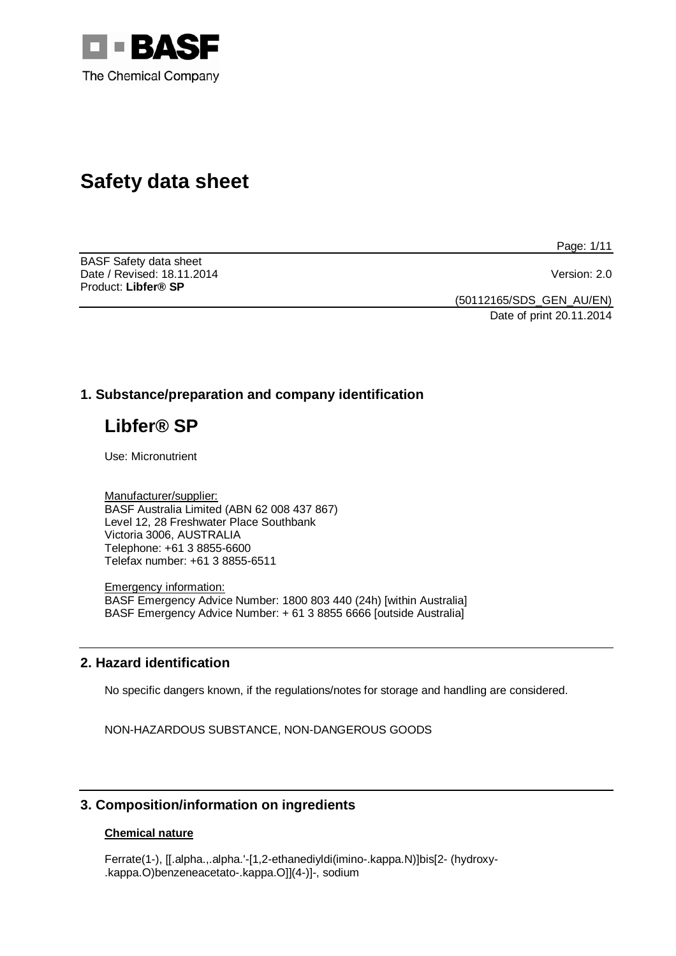

# **Safety data sheet**

BASF Safety data sheet Date / Revised: 18.11.2014 Version: 2.0 Product: **Libfer® SP** 

Page: 1/11

(50112165/SDS\_GEN\_AU/EN)

Date of print 20.11.2014

# **1. Substance/preparation and company identification**

# **Libfer® SP**

Use: Micronutrient

Manufacturer/supplier: BASF Australia Limited (ABN 62 008 437 867) Level 12, 28 Freshwater Place Southbank Victoria 3006, AUSTRALIA Telephone: +61 3 8855-6600 Telefax number: +61 3 8855-6511

Emergency information: BASF Emergency Advice Number: 1800 803 440 (24h) [within Australia] BASF Emergency Advice Number: + 61 3 8855 6666 [outside Australia]

# **2. Hazard identification**

No specific dangers known, if the regulations/notes for storage and handling are considered.

NON-HAZARDOUS SUBSTANCE, NON-DANGEROUS GOODS

# **3. Composition/information on ingredients**

#### **Chemical nature**

Ferrate(1-), [[.alpha.,.alpha.'-[1,2-ethanediyldi(imino-.kappa.N)]bis[2- (hydroxy- .kappa.O)benzeneacetato-.kappa.O]](4-)]-, sodium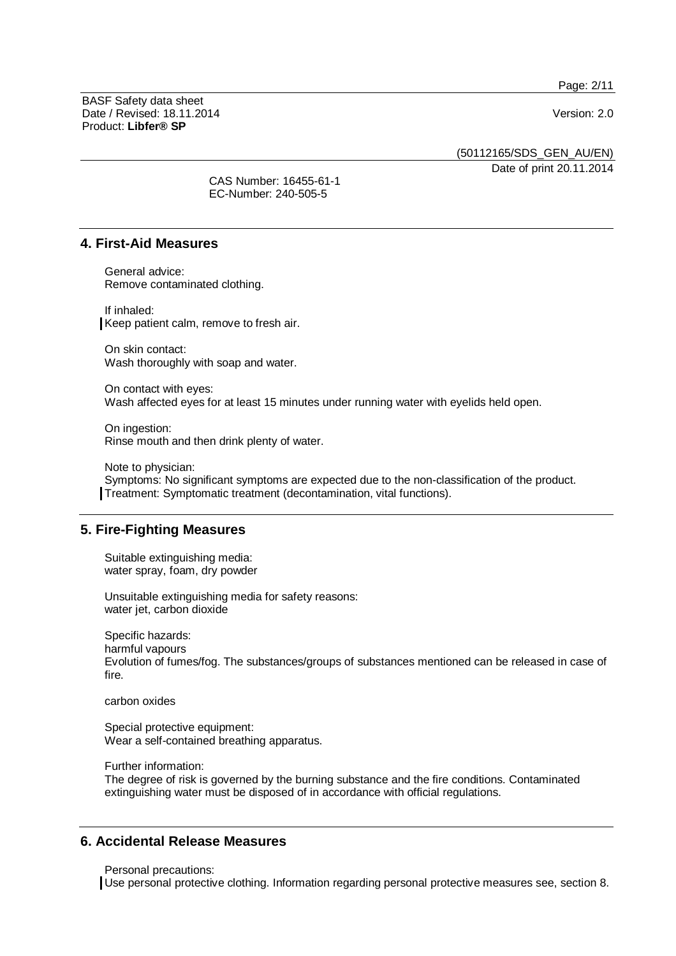Page: 2/11

BASF Safety data sheet Date / Revised: 18.11.2014 Version: 2.0 Product: **Libfer® SP**

(50112165/SDS\_GEN\_AU/EN)

Date of print 20.11.2014

CAS Number: 16455-61-1 EC-Number: 240-505-5

### **4. First-Aid Measures**

General advice: Remove contaminated clothing.

If inhaled: Keep patient calm, remove to fresh air.

On skin contact: Wash thoroughly with soap and water.

On contact with eyes: Wash affected eyes for at least 15 minutes under running water with eyelids held open.

On ingestion: Rinse mouth and then drink plenty of water.

Note to physician: Symptoms: No significant symptoms are expected due to the non-classification of the product. Treatment: Symptomatic treatment (decontamination, vital functions).

# **5. Fire-Fighting Measures**

Suitable extinguishing media: water spray, foam, dry powder

Unsuitable extinguishing media for safety reasons: water jet, carbon dioxide

Specific hazards: harmful vapours Evolution of fumes/fog. The substances/groups of substances mentioned can be released in case of fire.

carbon oxides

Special protective equipment: Wear a self-contained breathing apparatus.

Further information:

The degree of risk is governed by the burning substance and the fire conditions. Contaminated extinguishing water must be disposed of in accordance with official regulations.

# **6. Accidental Release Measures**

Personal precautions:

Use personal protective clothing. Information regarding personal protective measures see, section 8.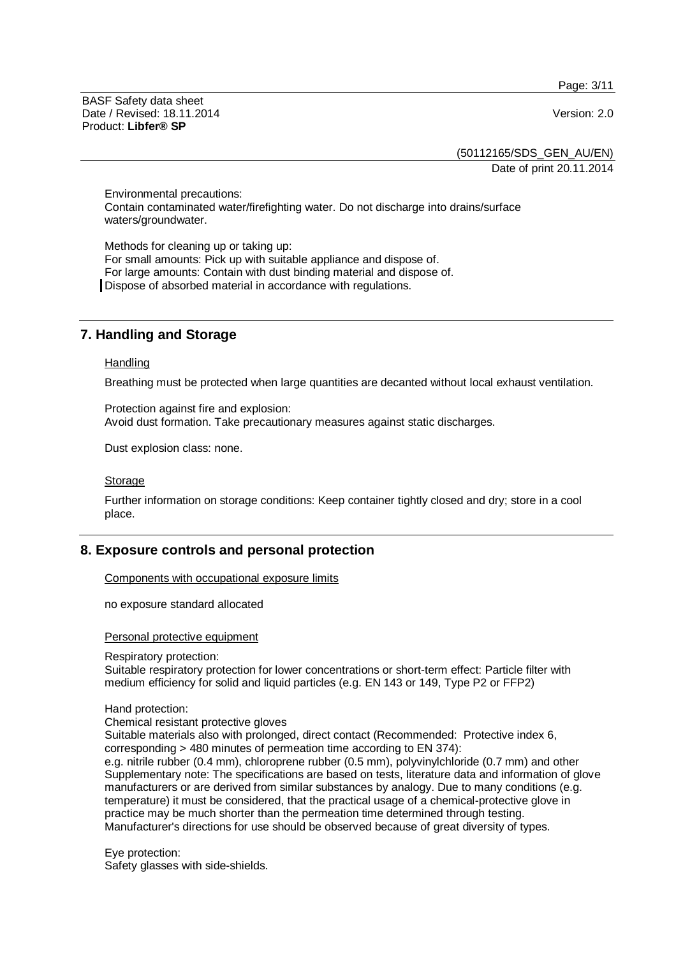Page: 3/11

BASF Safety data sheet Date / Revised: 18.11.2014 Version: 2.0 Product: **Libfer® SP**

(50112165/SDS\_GEN\_AU/EN)

Date of print 20.11.2014

Environmental precautions: Contain contaminated water/firefighting water. Do not discharge into drains/surface waters/groundwater.

Methods for cleaning up or taking up: For small amounts: Pick up with suitable appliance and dispose of. For large amounts: Contain with dust binding material and dispose of. Dispose of absorbed material in accordance with regulations.

# **7. Handling and Storage**

#### **Handling**

Breathing must be protected when large quantities are decanted without local exhaust ventilation.

Protection against fire and explosion: Avoid dust formation. Take precautionary measures against static discharges.

Dust explosion class: none.

#### Storage

Further information on storage conditions: Keep container tightly closed and dry; store in a cool place.

# **8. Exposure controls and personal protection**

Components with occupational exposure limits

no exposure standard allocated

#### Personal protective equipment

Respiratory protection:

Suitable respiratory protection for lower concentrations or short-term effect: Particle filter with medium efficiency for solid and liquid particles (e.g. EN 143 or 149, Type P2 or FFP2)

#### Hand protection:

Chemical resistant protective gloves

Suitable materials also with prolonged, direct contact (Recommended: Protective index 6, corresponding > 480 minutes of permeation time according to EN 374):

e.g. nitrile rubber (0.4 mm), chloroprene rubber (0.5 mm), polyvinylchloride (0.7 mm) and other Supplementary note: The specifications are based on tests, literature data and information of glove manufacturers or are derived from similar substances by analogy. Due to many conditions (e.g. temperature) it must be considered, that the practical usage of a chemical-protective glove in practice may be much shorter than the permeation time determined through testing. Manufacturer's directions for use should be observed because of great diversity of types.

Eye protection: Safety glasses with side-shields.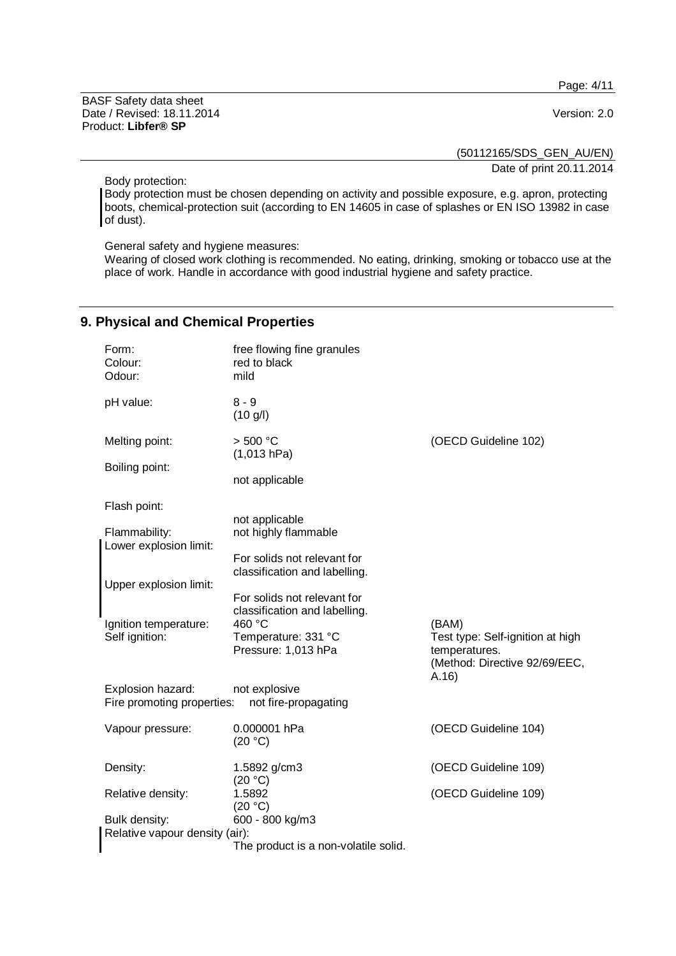Page: 4/11

BASF Safety data sheet Date / Revised: 18.11.2014 Version: 2.0 Product: **Libfer® SP**

(50112165/SDS\_GEN\_AU/EN)

Date of print 20.11.2014

Body protection:

Body protection must be chosen depending on activity and possible exposure, e.g. apron, protecting boots, chemical-protection suit (according to EN 14605 in case of splashes or EN ISO 13982 in case of dust).

General safety and hygiene measures:

Wearing of closed work clothing is recommended. No eating, drinking, smoking or tobacco use at the place of work. Handle in accordance with good industrial hygiene and safety practice.

# **9. Physical and Chemical Properties**

| Form:<br>Colour:<br>Odour:                                                               | free flowing fine granules<br>red to black<br>mild           |                                                                                            |  |
|------------------------------------------------------------------------------------------|--------------------------------------------------------------|--------------------------------------------------------------------------------------------|--|
| pH value:                                                                                | $8 - 9$<br>(10 g/l)                                          |                                                                                            |  |
| Melting point:                                                                           | > 500 °C<br>(1,013 hPa)                                      | (OECD Guideline 102)                                                                       |  |
| Boiling point:                                                                           | not applicable                                               |                                                                                            |  |
| Flash point:                                                                             |                                                              |                                                                                            |  |
| Flammability:<br>Lower explosion limit:                                                  | not applicable<br>not highly flammable                       |                                                                                            |  |
|                                                                                          | For solids not relevant for<br>classification and labelling. |                                                                                            |  |
| Upper explosion limit:                                                                   | For solids not relevant for<br>classification and labelling. |                                                                                            |  |
| Ignition temperature:                                                                    | 460 °C                                                       | (BAM)                                                                                      |  |
| Self ignition:                                                                           | Temperature: 331 °C<br>Pressure: 1,013 hPa                   | Test type: Self-ignition at high<br>temperatures.<br>(Method: Directive 92/69/EEC,<br>A.16 |  |
| Explosion hazard:<br>not explosive<br>Fire promoting properties:<br>not fire-propagating |                                                              |                                                                                            |  |
| Vapour pressure:                                                                         | 0.000001 hPa<br>(20 °C)                                      | (OECD Guideline 104)                                                                       |  |
| Density:                                                                                 | 1.5892 g/cm3<br>(20 °C)                                      | (OECD Guideline 109)                                                                       |  |
| Relative density:                                                                        | 1.5892<br>(20 °C)                                            | (OECD Guideline 109)                                                                       |  |
| Bulk density:                                                                            | 600 - 800 kg/m3                                              |                                                                                            |  |
| Relative vapour density (air):                                                           | The product is a non-volatile solid.                         |                                                                                            |  |
|                                                                                          |                                                              |                                                                                            |  |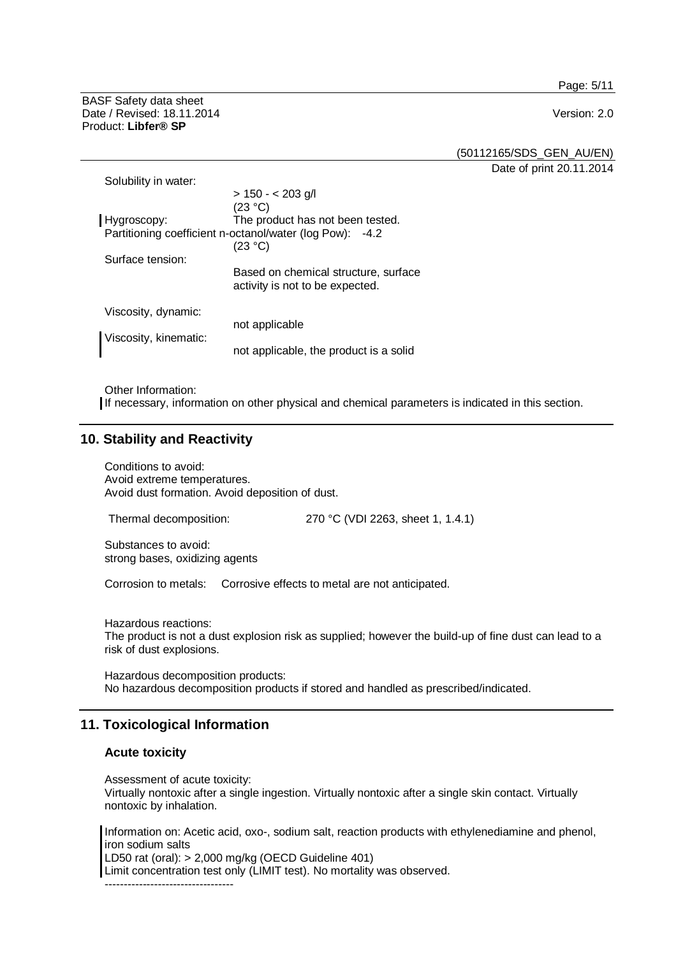Page: 5/11

BASF Safety data sheet Date / Revised: 18.11.2014 Version: 2.0 Product: **Libfer® SP**

(50112165/SDS\_GEN\_AU/EN)

Date of print 20.11.2014

| Solubility in water:  |                                                                         |
|-----------------------|-------------------------------------------------------------------------|
| Hygroscopy:           | $> 150 - 203$ g/l<br>(23 °C)<br>The product has not been tested.        |
|                       | Partitioning coefficient n-octanol/water (log Pow): -4.2<br>(23 °C)     |
| Surface tension:      |                                                                         |
|                       | Based on chemical structure, surface<br>activity is not to be expected. |
| Viscosity, dynamic:   |                                                                         |
|                       | not applicable                                                          |
| Viscosity, kinematic: | not applicable, the product is a solid                                  |

Other Information:

If necessary, information on other physical and chemical parameters is indicated in this section.

### **10. Stability and Reactivity**

Conditions to avoid: Avoid extreme temperatures. Avoid dust formation. Avoid deposition of dust.

Thermal decomposition: 270 °C (VDI 2263, sheet 1, 1.4.1)

Substances to avoid: strong bases, oxidizing agents

Corrosion to metals: Corrosive effects to metal are not anticipated.

Hazardous reactions: The product is not a dust explosion risk as supplied; however the build-up of fine dust can lead to a risk of dust explosions.

Hazardous decomposition products: No hazardous decomposition products if stored and handled as prescribed/indicated.

# **11. Toxicological Information**

## **Acute toxicity**

Assessment of acute toxicity: Virtually nontoxic after a single ingestion. Virtually nontoxic after a single skin contact. Virtually nontoxic by inhalation.

Information on: Acetic acid, oxo-, sodium salt, reaction products with ethylenediamine and phenol, iron sodium salts

LD50 rat (oral): > 2,000 mg/kg (OECD Guideline 401)

Limit concentration test only (LIMIT test). No mortality was observed.

----------------------------------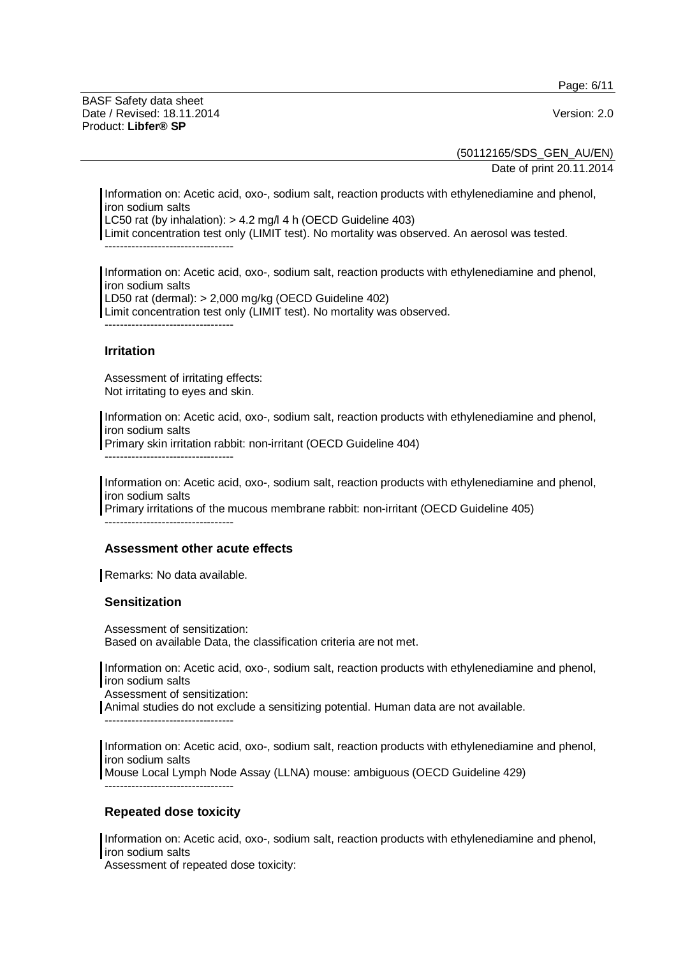Page: 6/11

BASF Safety data sheet Date / Revised: 18.11.2014 Version: 2.0 Product: **Libfer® SP**

(50112165/SDS\_GEN\_AU/EN)

Date of print 20.11.2014

Information on: Acetic acid, oxo-, sodium salt, reaction products with ethylenediamine and phenol, iron sodium salts

LC50 rat (by inhalation): > 4.2 mg/l 4 h (OECD Guideline 403)

Limit concentration test only (LIMIT test). No mortality was observed. An aerosol was tested. ----------------------------------

Information on: Acetic acid, oxo-, sodium salt, reaction products with ethylenediamine and phenol, iron sodium salts LD50 rat (dermal): > 2,000 mg/kg (OECD Guideline 402) Limit concentration test only (LIMIT test). No mortality was observed.  $-$ 

### **Irritation**

Assessment of irritating effects: Not irritating to eyes and skin.

----------------------------------

Information on: Acetic acid, oxo-, sodium salt, reaction products with ethylenediamine and phenol, iron sodium salts Primary skin irritation rabbit: non-irritant (OECD Guideline 404)

Information on: Acetic acid, oxo-, sodium salt, reaction products with ethylenediamine and phenol, iron sodium salts Primary irritations of the mucous membrane rabbit: non-irritant (OECD Guideline 405)

#### **Assessment other acute effects**

Remarks: No data available.

#### **Sensitization**

Assessment of sensitization: Based on available Data, the classification criteria are not met.

Information on: Acetic acid, oxo-, sodium salt, reaction products with ethylenediamine and phenol, iron sodium salts

Assessment of sensitization:

Animal studies do not exclude a sensitizing potential. Human data are not available.

----------------------------------

Information on: Acetic acid, oxo-, sodium salt, reaction products with ethylenediamine and phenol, iron sodium salts Mouse Local Lymph Node Assay (LLNA) mouse: ambiguous (OECD Guideline 429)

----------------------------------

# **Repeated dose toxicity**

Information on: Acetic acid, oxo-, sodium salt, reaction products with ethylenediamine and phenol, iron sodium salts

Assessment of repeated dose toxicity: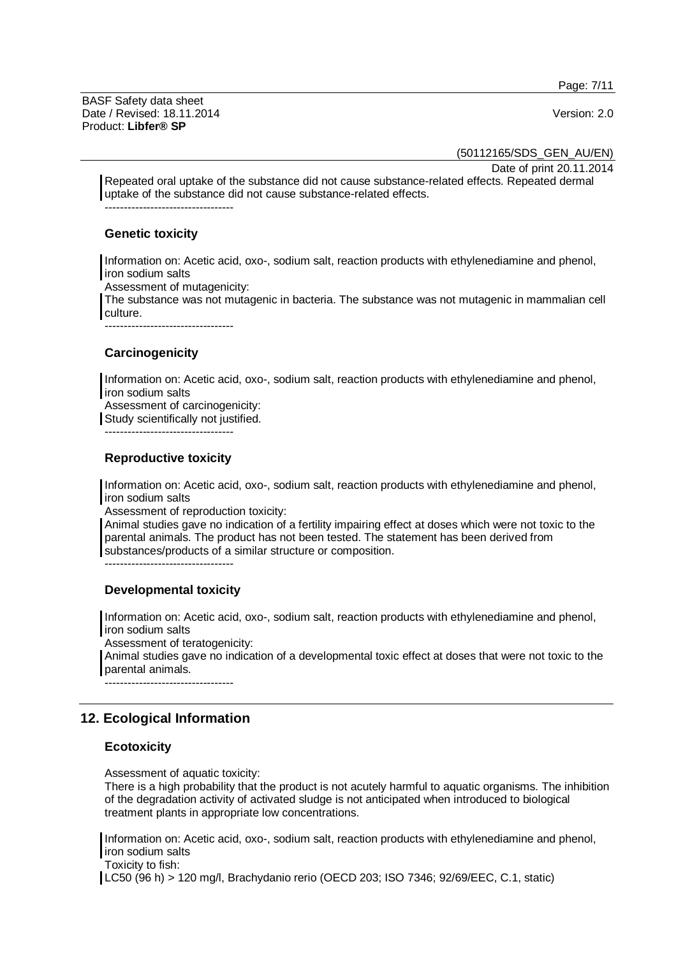Page: 7/11

BASF Safety data sheet Date / Revised: 18.11.2014 Version: 2.0 Product: **Libfer® SP**

(50112165/SDS\_GEN\_AU/EN)

Date of print 20.11.2014

Repeated oral uptake of the substance did not cause substance-related effects. Repeated dermal uptake of the substance did not cause substance-related effects. ----------------------------------

#### **Genetic toxicity**

Information on: Acetic acid, oxo-, sodium salt, reaction products with ethylenediamine and phenol, iron sodium salts

Assessment of mutagenicity:

The substance was not mutagenic in bacteria. The substance was not mutagenic in mammalian cell culture.

----------------------------------

# **Carcinogenicity**

Information on: Acetic acid, oxo-, sodium salt, reaction products with ethylenediamine and phenol, iron sodium salts

Assessment of carcinogenicity: Study scientifically not justified.

----------------------------------

#### **Reproductive toxicity**

Information on: Acetic acid, oxo-, sodium salt, reaction products with ethylenediamine and phenol, iron sodium salts

Assessment of reproduction toxicity:

Animal studies gave no indication of a fertility impairing effect at doses which were not toxic to the parental animals. The product has not been tested. The statement has been derived from substances/products of a similar structure or composition.

----------------------------------

# **Developmental toxicity**

Information on: Acetic acid, oxo-, sodium salt, reaction products with ethylenediamine and phenol, iron sodium salts

Assessment of teratogenicity:

Animal studies gave no indication of a developmental toxic effect at doses that were not toxic to the parental animals.

----------------------------------

# **12. Ecological Information**

#### **Ecotoxicity**

Assessment of aquatic toxicity:

There is a high probability that the product is not acutely harmful to aquatic organisms. The inhibition of the degradation activity of activated sludge is not anticipated when introduced to biological treatment plants in appropriate low concentrations.

Information on: Acetic acid, oxo-, sodium salt, reaction products with ethylenediamine and phenol, iron sodium salts

Toxicity to fish:

LC50 (96 h) > 120 mg/l, Brachydanio rerio (OECD 203; ISO 7346; 92/69/EEC, C.1, static)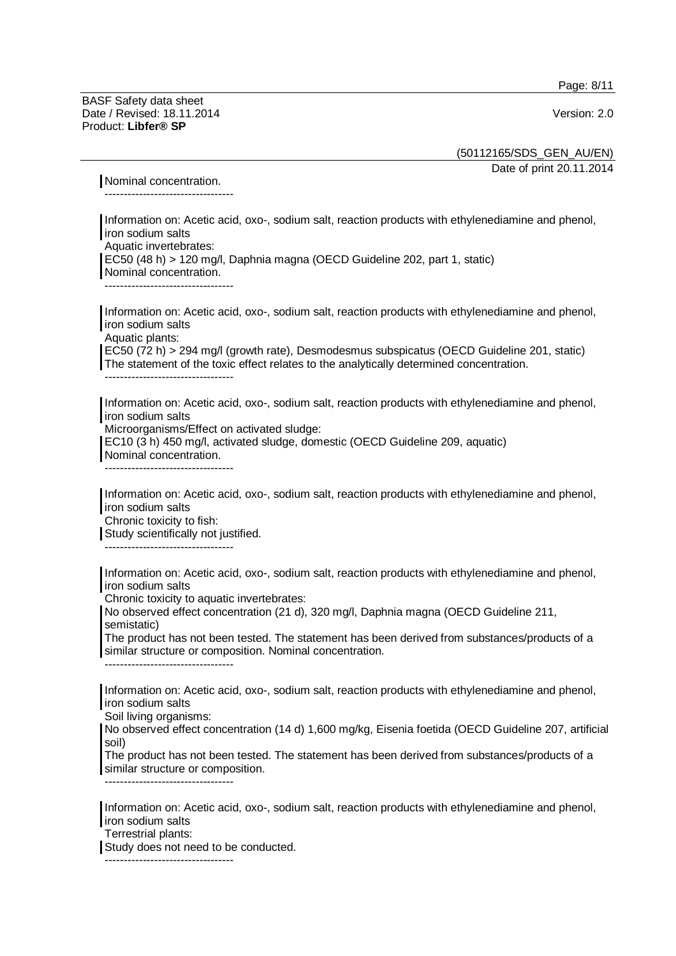Page: 8/11

BASF Safety data sheet Date / Revised: 18.11.2014 Version: 2.0 Product: **Libfer® SP**

(50112165/SDS\_GEN\_AU/EN)

Date of print 20.11.2014

Nominal concentration.

----------------------------------

Information on: Acetic acid, oxo-, sodium salt, reaction products with ethylenediamine and phenol, iron sodium salts Aquatic invertebrates: EC50 (48 h) > 120 mg/l, Daphnia magna (OECD Guideline 202, part 1, static) Nominal concentration. ----------------------------------

Information on: Acetic acid, oxo-, sodium salt, reaction products with ethylenediamine and phenol, iron sodium salts Aquatic plants: EC50 (72 h) > 294 mg/l (growth rate), Desmodesmus subspicatus (OECD Guideline 201, static) The statement of the toxic effect relates to the analytically determined concentration.

Information on: Acetic acid, oxo-, sodium salt, reaction products with ethylenediamine and phenol, iron sodium salts

Microorganisms/Effect on activated sludge:

EC10 (3 h) 450 mg/l, activated sludge, domestic (OECD Guideline 209, aquatic) Nominal concentration.

----------------------------------

----------------------------------

Information on: Acetic acid, oxo-, sodium salt, reaction products with ethylenediamine and phenol, iron sodium salts

Chronic toxicity to fish:

Study scientifically not justified.

----------------------------------

Information on: Acetic acid, oxo-, sodium salt, reaction products with ethylenediamine and phenol, iron sodium salts

Chronic toxicity to aquatic invertebrates:

No observed effect concentration (21 d), 320 mg/l, Daphnia magna (OECD Guideline 211, semistatic)

The product has not been tested. The statement has been derived from substances/products of a similar structure or composition. Nominal concentration. ----------------------------------

Information on: Acetic acid, oxo-, sodium salt, reaction products with ethylenediamine and phenol,

iron sodium salts

Soil living organisms:

No observed effect concentration (14 d) 1,600 mg/kg, Eisenia foetida (OECD Guideline 207, artificial soil)

The product has not been tested. The statement has been derived from substances/products of a similar structure or composition.

----------------------------------

----------------------------------

Information on: Acetic acid, oxo-, sodium salt, reaction products with ethylenediamine and phenol, iron sodium salts

Terrestrial plants:

Study does not need to be conducted.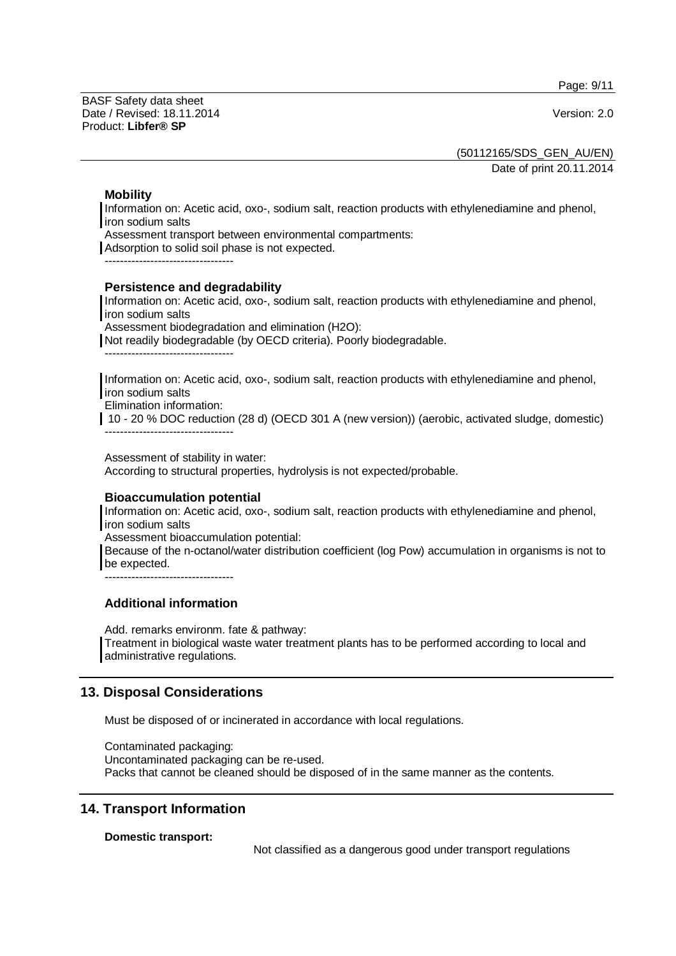Page: 9/11

BASF Safety data sheet Date / Revised: 18.11.2014 Version: 2.0 Product: **Libfer® SP**

(50112165/SDS\_GEN\_AU/EN)

Date of print 20.11.2014

### **Mobility**

Information on: Acetic acid, oxo-, sodium salt, reaction products with ethylenediamine and phenol, iron sodium salts

Assessment transport between environmental compartments:

Adsorption to solid soil phase is not expected.

#### **Persistence and degradability**

Information on: Acetic acid, oxo-, sodium salt, reaction products with ethylenediamine and phenol, iron sodium salts

Assessment biodegradation and elimination (H2O):

Not readily biodegradable (by OECD criteria). Poorly biodegradable.

----------------------------------

Information on: Acetic acid, oxo-, sodium salt, reaction products with ethylenediamine and phenol, iron sodium salts

Elimination information:

 10 - 20 % DOC reduction (28 d) (OECD 301 A (new version)) (aerobic, activated sludge, domestic) ----------------------------------

Assessment of stability in water:

According to structural properties, hydrolysis is not expected/probable.

#### **Bioaccumulation potential**

Information on: Acetic acid, oxo-, sodium salt, reaction products with ethylenediamine and phenol, iron sodium salts

Assessment bioaccumulation potential:

Because of the n-octanol/water distribution coefficient (log Pow) accumulation in organisms is not to be expected.

 $-$ 

# **Additional information**

Add. remarks environm. fate & pathway: Treatment in biological waste water treatment plants has to be performed according to local and administrative regulations.

# **13. Disposal Considerations**

Must be disposed of or incinerated in accordance with local regulations.

Contaminated packaging: Uncontaminated packaging can be re-used. Packs that cannot be cleaned should be disposed of in the same manner as the contents.

# **14. Transport Information**

**Domestic transport:** 

Not classified as a dangerous good under transport regulations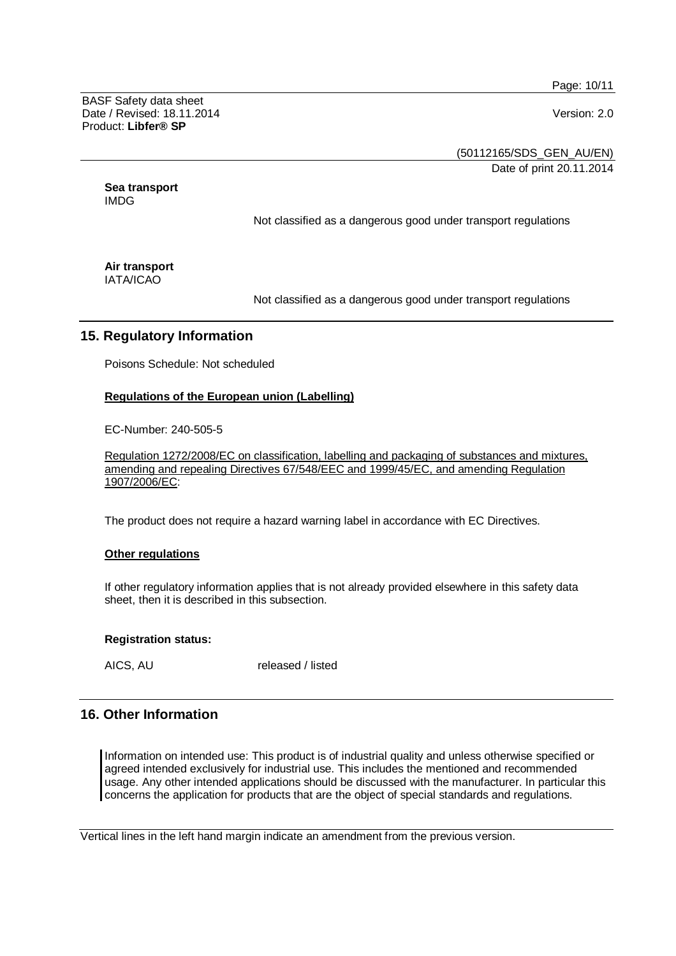Page: 10/11

BASF Safety data sheet Date / Revised: 18.11.2014 Version: 2.0 Product: **Libfer® SP**

(50112165/SDS\_GEN\_AU/EN)

Date of print 20.11.2014

**Sea transport**  IMDG

Not classified as a dangerous good under transport regulations

**Air transport**  IATA/ICAO

Not classified as a dangerous good under transport regulations

# **15. Regulatory Information**

Poisons Schedule: Not scheduled

#### **Regulations of the European union (Labelling)**

EC-Number: 240-505-5

Regulation 1272/2008/EC on classification, labelling and packaging of substances and mixtures, amending and repealing Directives 67/548/EEC and 1999/45/EC, and amending Regulation 1907/2006/EC:

The product does not require a hazard warning label in accordance with EC Directives.

#### **Other regulations**

If other regulatory information applies that is not already provided elsewhere in this safety data sheet, then it is described in this subsection.

#### **Registration status:**

AICS, AU released / listed

# **16. Other Information**

Information on intended use: This product is of industrial quality and unless otherwise specified or agreed intended exclusively for industrial use. This includes the mentioned and recommended usage. Any other intended applications should be discussed with the manufacturer. In particular this concerns the application for products that are the object of special standards and regulations.

Vertical lines in the left hand margin indicate an amendment from the previous version.